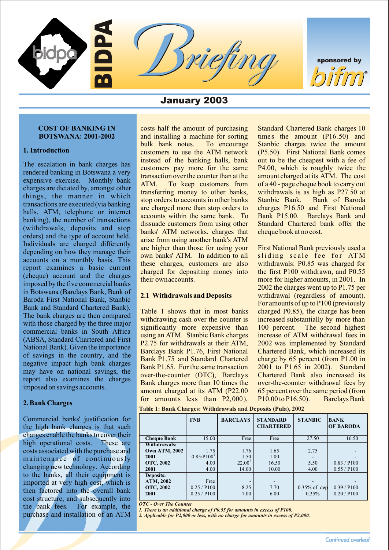

sponsored by R

## January 2003

# **COST OF BANKING IN costs half the amount of purchasing** Standard Chartered Bank charges 10

The escalation in bank charges has **inusted** of the banking halls, bank cout to be the cheapert with a fee of the same perceled banking in Bolswania a very transaction occur-the counter than diffe amount charged at is ATM

Commercial banks' justification for the high bank charges is that such charges enable the banks to cover their high operational costs. These are costs associated with the purchase and maintenance of continuously changing new technology. According to the banks, all their equipment is imported at very high cost, which is then factored into the overall bank cost structure, and subsequently into the bank fees. For example, the purchase and installation of an ATM

**BOTSWANA: 2001-2002** and installing a machine for sorting times the amount (P16.50) and bulk bank notes. To encourage Stanbic charges twice the amount **1. Introduction**<br> **1. Introduction**<br> **1. Introduction**<br> **1. Introduction**<br> **1.** Introduction<br> **1.** Intervention is bended to be the banking halls, bank out to be the cheapest with a fee of

for amounts less than P2,000), P10.00 to P16.50). Barclays Bank **2. Bank Charges**

**Table 1: Bank Charges: Withdrawals and Deposits (Pula), 2002**

|                      | <b>FNB</b>             | <b>BARCLAYS</b> | <b>STANDARD</b><br><b>CHARTERED</b> | <b>STANBIC</b>  | <b>BANK</b><br><b>OF BARODA</b> |
|----------------------|------------------------|-----------------|-------------------------------------|-----------------|---------------------------------|
| <b>Cheque Book</b>   | 15.00                  | Free            | Free                                | 27.50           | 16.50                           |
| Withdrawals:         |                        |                 |                                     |                 |                                 |
| <b>Own ATM, 2002</b> | 1.75                   | 1.76            | 1.65                                | 2.75            |                                 |
| 2001                 | 0.85/P100 <sup>1</sup> | 1.50            | 1.00                                |                 |                                 |
| <b>OTC, 2002</b>     | 4.00                   | $22.00^2$       | 16.50                               | 5.50            | 0.83 / P100                     |
| 2001                 | 4.00                   | 14.00           | 10.00                               | 4.00            | 0.55 / P100                     |
| <b>Deposits:</b>     |                        |                 |                                     |                 |                                 |
| ATM, 2002            | Free                   |                 |                                     |                 |                                 |
| <b>OTC, 2002</b>     | 0.25 / P100            | 8.25            | 7.70                                | $0.35\%$ of dep | 0.39 / P100                     |
| 2001                 | 0.25 / P100            | 7.00            | 6.00                                | 0.35%           | 0.20 / P100                     |

*OTC - Over The Counter*

*1. There is an additional charge of P0.55 for amounts in excess of P100.*

*2. Applicable for P2,000 or less, with no charge for amounts in excess of P2,000.*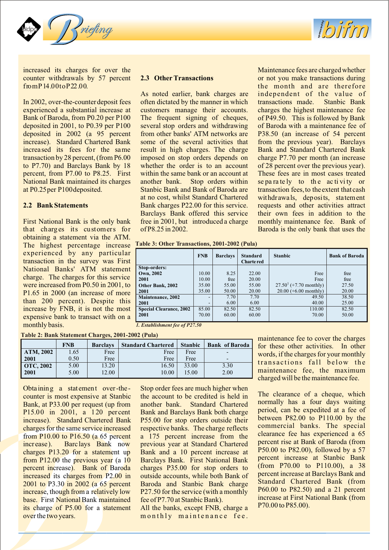



increased its charges for over the Maintenance fees are charged whether counter withdrawals by 57 percent **2.3 Other Transactions** or not you make transactions during fromP14.00toP22.00.<br>As noted earlier, bank charges are independent of the value of

experienced a substantial increase at customers manage their accounts. charges the highest maintenance fee Bank of Baroda, from P0.20 per P100 The frequent signing of cheques, of P49.50. This is followed by Bank deposited in 2001, to P0.39 per P100 several stop orders and withdrawing of Baroda with a maintenance fee of deposited in 2002 (a 95 percent from other banks' ATM networks are P38.50 (an increase of 54 percent increase). Standard Chartered Bank some of the several activities that from the previous vear). Barclavs increased its fees for the same result in high charges. The charge Bank and Standard Chartered Bank transaction by 28 percent, (from P6.00 imposed on stop orders depends on charge P7.70 per month (an increase to P7.70) and Barclays Bank by 18 whether the order is to an account of 28 percent over the previous year). to P7.70) and Barclays Bank by 18 whether the order is to an account of 28 percent over the previous year). percent, from P7.00 to P8.25. First within the same bank or an account at These fees are in most cases treated National Bank maintained its charges another bank. Stop orders within se pa ra te ly to the ac ti vi ty or at P0.25 per P100 deposited. Stanbic Bank and Bank of Baroda are transaction fees, to the extent that cash

that charges its customers for of P8.25 in 2002. Baroda is the only bank that uses the obtaining a statement via the ATM. The highest percentage increase experienced by any particular transaction in the survey was First National Banks' ATM statement charge. The charges for this service were increased from P0.50 in 2001, to P1.65 in 2000 (an increase of more than 200 percent). Despite this increase by FNB, it is not the most expensive bank to transact with on a monthly basis.

As noted earlier, bank charges are In 2002, over-the-counter deposit fees often dictated by the manner in which transactions made. Stanbic Bank several stop orders and withdrawing of Baroda with a maintenance fee of some of the several activities that from the previous year). Barclays Stanbic Bank and Bank of Baroda are transaction fees, to the extent that cash<br>at no cost, whilst Standard Chartered withdrawals, deposits, statement **2.2 Bank Statements** Bank charges P22.00 for this service. requests and other activities attract Barclays Bank offered this service their own fees in addition to the First National Bank is the only bank free in 2001, but introduced a charge monthly maintenance fee. Bank of

**Table 3: Other Transactions, 2001-2002 (Pula)**

|                                | <b>FNB</b> | <b>Barclays</b> | <b>Standard</b><br><b>Chartered</b> | <b>Stanbic</b>            | <b>Bank of Baroda</b> |
|--------------------------------|------------|-----------------|-------------------------------------|---------------------------|-----------------------|
| Stop-orders:                   |            |                 |                                     |                           |                       |
| Own, 2002                      | 10.00      | 8.25            | 22.00                               | Free                      | free                  |
| 2001                           | 10.00      | free            | 20.00                               | Free                      | free                  |
| Other Bank, 2002               | 35.00      | 55.00           | 55.00                               | $27.50^1$ (+7.70 monthly) | 27.50                 |
| 2001                           | 35.00      | 50.00           | 20.00                               | $20.00$ (+6.00 monthly)   | 20.00                 |
| <b>Maintenance</b> , 2002      |            | 7.70            | 7.70                                | 49.50                     | 38.50                 |
| 2001                           |            | 6.00            | 6.00                                | 40.00                     | 25.00                 |
| <b>Special Clearance, 2002</b> | 85.00      | 82.50           | 82.50                               | 110.00                    | 82.50                 |
| 2001                           | 70.00      | 60.00           | 60.00                               | 70.00                     | 50.00                 |
|                                |            |                 |                                     |                           |                       |

*1. Establishment fee of P27.50*

**Table 2: Bank Statement Charges, 2001-2002 (Pula)**

|           | <b>FNB</b> | <b>Barclays</b> | <b>Standard Chartered</b> | <b>Stanbic</b> | <b>Bank of Baroda</b> |
|-----------|------------|-----------------|---------------------------|----------------|-----------------------|
| ATM, 2002 | 1.65       | Free            | Free                      | Free           | -                     |
| 2001      | 0.50       | Free            | Free                      | Free           | -                     |
| OTC, 2002 | 5.00       | 13.20           | 16.50                     | 33.00          | 3.30                  |
| l 2001    | 5.00       | 12.00           | 10.00                     | 15.00          | 2.00                  |

Obta ining a statement over-the-<br>counter is most expensive at Stanbic the account to be credited is held in Bank, at P33.00 per request (up from increase). Barc lays Bank now previous year at Standard Chartered increased its charges from P2.00 in outside accounts, while both Bank of 2001 to P3.30 in 2002 (a 65 percent Baroda and Stanbic Bank charge base. First National Bank maintained fee of P7.70 at Stanbic Bank). Increase at First National Bank maintained fee of P7.70 at Stanbic Bank). its charge of P5.00 for a statement All the banks, except FNB, charge a over the two years. The monthly maintenance fee.

The clearance of a cheque, which<br>
Bank, at P33.00 per request (up from another bank. Standard Chartered normally has a four days waiting period, can be expedited at a fee of<br>P15.00 in 2001, a 120 percent Bank and Barclays Bank both charge period, can be expedited at a fee of<br>percentage between P82.00 to P110.00 by the increase). Standard Chartered Bank P55.00 for stop orders outside their between P82.00 to P110.00 by the charges for the same service increased respective banks. The charge reflects commercial banks. The special charges for the same service increased respective banks. The charge reflects commercial banks. The special from  $B10.00$  to  $B16.50$  (a 65 percent at  $2.175$  percent increased from the clearance fee has experienced a 65 from P10.00 to P16.50 (a 65 percent a 175 percent increase from the clearance fee has experienced a 65 for Paralamental and the state of Paralamental and the state of Paralamental and the state of Paralamental and the stat P50.00 to P82.00), followed by a 57 charges P13.20 for a statement up Bank and a 10 percent increase at From P12.00 the previous year (a 10 Barclays Bank. First National Bank<br>percent increase). Bank of Baroda charges P35.00 for stop orders to (from P70.00 to P110.00), a 38 charges P35.00 for stop orders to  $($ from P70.00 to P110.00), a 38 outside accounts while both Bank of percent increase at Barclays Bank and 2001 to P3.30 in 2002 (a 65 percent Baroda and Stanbic Bank charge Standard Chartered Bank (from 2002 in 2002 (a 65 percent Baroda and Stanbic Bank charge Standard Chartered Bank (from increase, though from a relatively low P27.50 for the service (with a monthly P60.00 to P82.50) and a 21 percent<br>hase. First National Bank maintained fee of P7.70 at Stanbic Bank) increase at First National Bank (from

maintenance fee to cover the charges for these other activities. In other words, if the charges for your monthly transactions fall below the maintenance fee, the maximum charged will be the maintenance fee.

withdrawals, deposits, statement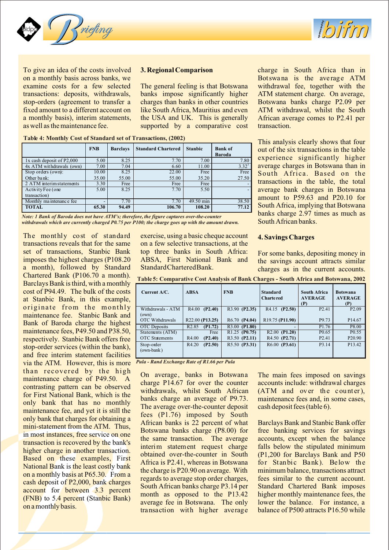



on a monthly basis across banks, we Botswa na is the average ATM examine costs for a few selected The general feeling is that Botswana withdrawal fee, together with the transactions: deposits, withdrawals, banks impose significantly higher ATM statement charge. On average, stop-orders (agreement to transfer a charges than banks in other countries Botswana banks charge P2.09 per fixed amount to a different account on like South Africa, Mauritius and even ATM withdrawal, whilst the South a monthly basis), interim statements, the USA and UK. This is generally African average comes to P2.41 per as well as the maintenance fee.  $\qquad \qquad \text{supported} \quad \text{by} \quad \text{a} \quad \text{comparative} \quad \text{cost} \qquad \text{transaction}.$ 

Stop orders (own): Other bank:

Activity Fee (one transaction)

**Table 4: Monthly Cost of Standard set of Transactions, (2002)**

10.00  $\frac{35.00}{3.30}$ 

**FNB Barclays Standard Chartered Stanbic Bank of**

22.00 55.00

 $5.00$   $8.25$   $7.70$   $5.50$ 

**Baroda**

Free 27.50

Free 35.20

To give an idea of the costs involved **3. Regional Comparison** charge in South Africa than in

This analysis clearly shows that four out of the six transactions in the table experience significantly higher average charges in Botswana than in South Africa. Based on the transactions in the table, the total average bank charges in Botswana amount to P59.63 and P20.10 for South Africa, implying that Botswana banks charge 2.97 times as much as South African banks.

### Monthly maintenance fee - 7.70 7.70 7.70 49.50 min 38.50<br> **TOTAL** 65.30 94.49 106.70 108.20 77.12 **TOTAL 65.30 94.49 106.70 108.20 77.12**

*Note: 1 Bank of Baroda does not have ATM's; therefore, the figure captures over-the-counter withdrawals which are currently charged P0.75 per P100; the charge goes up with the amount drawn.*

1x cash deposit of P2,000 5.00 8.25 7.70 7.00 7.80 4x ATM withdrawals (own) 7.00 7.04 6.60 11.00 3.32<sup>1</sup>

8.25 55.00

2 ATM interim statements 3.30 Free Free Free Free

a month), followed by Standard Standard Chartered Bank. charges as in the current accounts. Chartered Bank (P106.70 a month). Barclays Bank is third, with a monthly cost of P94.49. The bulk of the costs at Stanbic Bank, in this example, originate from the monthly withdrawals-ATM maintenance fee. Stanbic Bank and Bank of Baroda charge the highest maintenance fees, P49.50 and P38.50, respectively. Stanbic Bank offers free stop-order services (within the bank), and free interim statement facilities via the ATM. However, this is more

The monthly cost of standard exercise, using a basic cheque account **4. Savings Charges** transactions reveals that for the same on a few selective transactions, at the on a few selective transactions, at the set of transactions, Stanbic Bank top three banks in South Africa: For some banks, depositing money in imposes the highest charges (P108.20 ABSA, First National Bank and the savings account attracts similar imposes the highest charges (P108.20 ABSA, First National Bank and the savings account attracts similar<br>a month), followed by Standard StandardCharteredBank.

| Current A/C.           | <b>ABSA</b>                  | <b>FNB</b>                             | <b>Standard</b><br>Charte red            | <b>South Africa</b><br><b>AVERAGE</b><br>(P) | <b>Botswana</b><br><b>AVERAGE</b><br>(P) |
|------------------------|------------------------------|----------------------------------------|------------------------------------------|----------------------------------------------|------------------------------------------|
| Withdrawals - ATM      | $R4.00$ (P2.40)              | R3.90 (P2.35)                          | R4.15<br>(P2.50)                         | P <sub>2.41</sub>                            | P <sub>2.09</sub>                        |
| (own)                  |                              |                                        |                                          |                                              |                                          |
| <b>OTC</b> Withdrawals | R22.00 (P13.25)              | R <sub>6.70</sub> (P <sub>4.04</sub> ) | R <sub>19.75</sub> (P <sub>11.90</sub> ) | P <sub>9.73</sub>                            | P <sub>14.67</sub>                       |
| <b>OTC</b> Deposits    | R <sub>2.85</sub><br>(P1.72) | R3.00 (P1.80)                          |                                          | P <sub>1.76</sub>                            | P8.00                                    |
| Statements (ATM)       | Free                         | R <sub>1.25</sub> (P <sub>0.75</sub> ) | $R2.00$ (P1.20)                          | P <sub>0.65</sub>                            | P <sub>0.55</sub>                        |
| <b>OTC</b> Statements  | (P2.40)<br>R <sub>4.00</sub> | R3.50 (P2.11)                          | R4.50 (P2.71)                            | P <sub>2.41</sub>                            | P <sub>20.90</sub>                       |
| Stop-order             | (P2.50)<br>R <sub>4.20</sub> | R5.50 (P3.31)                          | $R6.00$ (P3.61)                          | P <sub>3.14</sub>                            | P13.42                                   |
| (own-bank)             |                              |                                        |                                          |                                              |                                          |
|                        |                              |                                        |                                          |                                              |                                          |

**Table 5: Comparative Cost Analysis of Bank Charges - South Africa and Botswana, 2002**

*Pula - Rand Exchange Rate of R1.66 per Pula*

than recovered by the high<br>maintenance charge banks in Botswana. The main fees imposed on savings<br>maintenance charge part of P49.50. A charge P14.67 for over the counts include: with<br>drawal charges<br>for First National Bank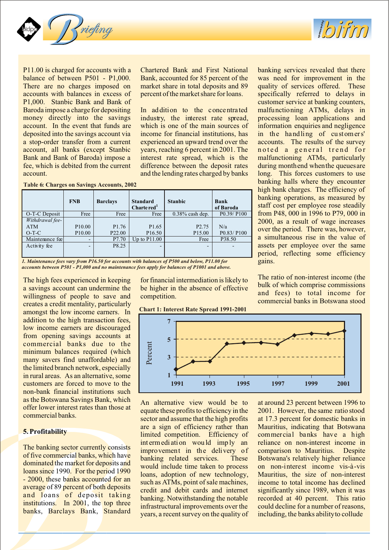



balance of between P501 - P1,000. Bank, accounted for 85 percent of the was need for improvement in the There are no charges imposed on market share in total deposits and 89 quality of services offered. These accounts with balances in excess of percent of the market share for loans. specifically referred to delays in P1,000. Stanbic Bank and Bank of customer service at banking counters, Baroda impose a charge for depositing In addition to the concentra ted malfunctioning ATMs, delays in money directly into the savings industry, the interest rate spread, processing loan applications and account. In the event that funds are which is one of the main sources of information enquiries and negligence deposited into the savings account via income for financial institutions, has in the handling of customers' a stop-order transfer from a current experienced an upward trend over the accounts. The results of the survey account, all banks (except Stanbic years, reaching 6 percent in 2001. The noted a general trend for Bank and Bank of Baroda) impose a interest rate spread, which is the malfunctioning ATMs, particularly fee, which is debited from the current difference between the deposit rates during month end when the queues are account. and the lending rates charged by banks long. This forces customers to use

P11.00 is charged for accounts with a Chartered Bank and First National banking services revealed that there

|  | Table 6: Charges on Savings Accounts, 2002 |  |
|--|--------------------------------------------|--|
|  |                                            |  |

|                 | <b>FNB</b>               | <b>Barclays</b>    | <b>Standard</b><br>Chartered <sup>1</sup> | <b>Stanbic</b>           | Bank<br>of Baroda |
|-----------------|--------------------------|--------------------|-------------------------------------------|--------------------------|-------------------|
| O-T-C Deposit   | Free                     | Free               | Free                                      | $0.38\%$ cash dep.       | P0.39/P100        |
| Withdrawal fee- |                          |                    |                                           |                          |                   |
| <b>ATM</b>      | P <sub>10.00</sub>       | P <sub>1.76</sub>  | P <sub>1.65</sub>                         | P <sub>2.75</sub>        | N/a               |
| $O-T-C$         | P <sub>10.00</sub>       | P <sub>22.00</sub> | P <sub>16.50</sub>                        | P <sub>15.00</sub>       | P0.83/P100        |
| Maintemance fee | ۰                        | P7.70              | Up to $P11.00$                            | Free                     | P38.50            |
| Activity fee    | $\overline{\phantom{0}}$ | P8.25              | -                                         | $\overline{\phantom{0}}$ |                   |
|                 |                          |                    |                                           |                          |                   |

*1. Maintenance fees vary from P16.50 for accounts with balances of P500 and below, P11.00 for accounts between P501 - P1,000 and no maintenance fees apply for balances of P1001 and above.*

amongst the low income earners. In addition to the high transaction fees, low income earners are discouraged from opening savings accounts at commercial banks due to the minimum balances required (which many savers find unaffordable) and the limited branch network, especially in rural areas. As an alternative, some customers are forced to move to the non-bank financial institutions such

**Chart 1: Interest Rate Spread 1991-2001**

banking halls where they encounter high bank charges. The efficiency of banking operations, as measured by staff cost per employee rose steadily from P48, 000 in 1996 to P79, 000 in 2000, as a result of wage increases over the period. There was, however, a simultaneous rise in the value of assets per employee over the same period, reflecting some efficiency gains.

The high fees experienced in keeping for financial intermediation is likely to<br>a savings account can undermine the be higher in the absence of effective bulk of which comprise commissions<br>willingness of people to save and



are a sign of efficiency rather than Mauritius, indicating that Botswana **5. Profitability** limited competition. Efficiency of commercial banks have a high

as the Botswana Savings Bank, which<br>offer lower interest rates than those at and the equate these profits to efficiency in the 2001. However, the same ratio stood<br>commercial banks.<br>sector and assume that the high profits a The banking sector currently consists<br>of five commercial banks, which have<br>dominated the market for deposits and<br>dominated the market for deposits and<br>loans since 1990. For the period 1990<br>and include time taken to process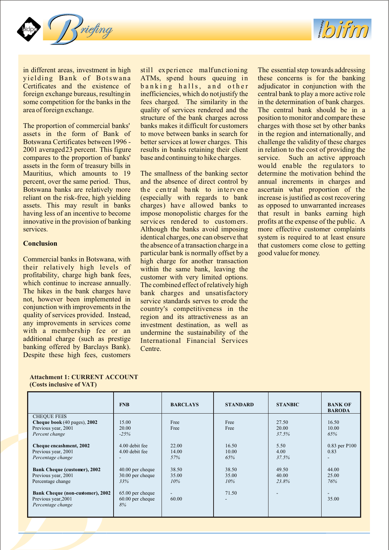



yielding Bank of Botswana ATMs, spend hours queuing in these concerns is for the banking Certificates and the existence of banking halls, and other adjudicator in conjunction with the foreign exchange bureaus, resulting in inefficiencies, which do not justify the central bank to play a more active role some competition for the banks in the fees charged. The similarity in the in the determination of bank charges. area of foreign exchange. quality of services rendered and the The central bank should be in a

assets in the form of Bank of to move between banks in search for in the region and internationally, and<br>Botswana Certificates between 1996 - better services at lower charges. This challenge the validity of these charges 2001 averaged 23 percent. This figure results in banks retaining their client in relation to the cost of providing the compares to the proportion of banks' base and continuing to hike charges. service. Such an active approach assets in the form of treasury bills in would enable the regulators to Mauritius, which amounts to 19 The smallness of the banking sector determine the motivation behind the

Commercial banks in Botswana, with high charge for another transaction<br>their relatively high levels of within the same bank leaving the their relatively high levels of within the same bank, leaving the profitability, charge high bank fees, customer with very limited options profitability, charge high bank fees, customer with very limited options.<br>which continue to increase annually. The combined effect of relatively high which continue to increase annually. The combined effect of relatively high<br>The hikes in the bank charges have hank charges and unsatisfactory The hikes in the bank charges have bank charges and unsatisfactory<br>not, however been implemented in service standards serves to erods the not, however been implemented in service standards serves to erode the conjunction with improvements in the country's competitiveness in the conjunction with improvements in the country's competitiveness in the quality of services provided. Instead, region and its attractiveness as an quality of services provided. Instead, region and its attractiveness as an any improvements in services come investment destination as well as any improvements in services come investment destination, as well as with a membership fee or an undermine the sustainability of the with a membership fee or an undermine the sustainability of the additional charge (such as prestige International Financial Services banking offered by Barclays Bank). Centre. Despite these high fees, customers

in different areas, investment in high still experience malfunctioning The essential step towards addressing structure of the bank charges across position to monitor and compare these<br>banks makes it difficult for customers charges with those set by other banks The proportion of commercial banks' banks makes it difficult for customers charges with those set by other banks better services at lower charges. This challenge the validity of these charges

percent, over the same period. Thus, and the absence of direct control by annual increments in charges and Botswana banks are relatively more the central bank to intervene ascertain what proportion of the the central bank to intervene reliant on the risk-free, high yielding (especially with regards to bank increase is justified as cost recovering assets. This may result in banks charges) have allowed banks to as opposed to unwarranted increases having less of an incentive to become impose monopolistic charges for the that result in banks earning high innovative in the provision of banking services rendered to customers. profits at the expense of the public. A services. Although the banks avoid imposing more effective customer complaints identical charges, one can observe that system is required to at least ensure **Conclusion** the absence of a transaction charge in a that customers come close to getting particular bank is normally offset by a good value for money. International Financial Services

| <b>Attachment 1: CURRENT ACCOUNT</b> |  |
|--------------------------------------|--|
| (Costs inclusive of VAT)             |  |

(max P5)

 *Percentage change*

|                                         | <b>FNB</b>       | <b>BARCLAYS</b> | <b>STANDARD</b> | <b>STANBIC</b> | <b>BANK OF</b><br><b>BARODA</b> |
|-----------------------------------------|------------------|-----------------|-----------------|----------------|---------------------------------|
| <b>CHEQUE FEES</b>                      |                  |                 |                 |                |                                 |
| Cheque book $(40 \text{ pages})$ , 2002 | 15.00            | Free            | Free            | 27.50          | 16.50                           |
| Previous year, 2001                     | 20.00            | Free            | Free            | 20.00          | 10.00                           |
| Percent change                          | $-25%$           |                 |                 | 37.5%          | 65%                             |
|                                         |                  |                 |                 |                |                                 |
| Cheque encashment, 2002                 | 4.00 debit fee   | 22.00           | 16.50           | 5.50           | 0.83 per P100                   |
| Previous year, 2001                     | 4.00 debit fee   | 14.00           | 10.00           | 4.00           | 0.83                            |
| Percentage change                       |                  | 57%             | 65%             | 37.5%          |                                 |
|                                         |                  |                 |                 |                |                                 |
| Bank Cheque (customer), 2002            | 40.00 per cheque | 38.50           | 38.50           | 49.50          | 44.00                           |
| Previous year, 2001                     | 30.00 per cheque | 35.00           | 35.00           | 40.00          | 25.00                           |
| Percentage change                       | 33%              | 10%             | 10%             | 23.8%          | 76%                             |
|                                         |                  |                 |                 |                |                                 |
| Bank Cheque (non-customer), 2002        | 65.00 per cheque |                 | 71.50           |                |                                 |
| Previous year, 2001                     | 60.00 per cheque | 60.00           |                 |                | 35.00                           |
| Percentage change                       | 8%               |                 |                 |                |                                 |
|                                         |                  |                 |                 |                |                                 |
|                                         |                  |                 |                 |                |                                 |

*65%*

*17%*